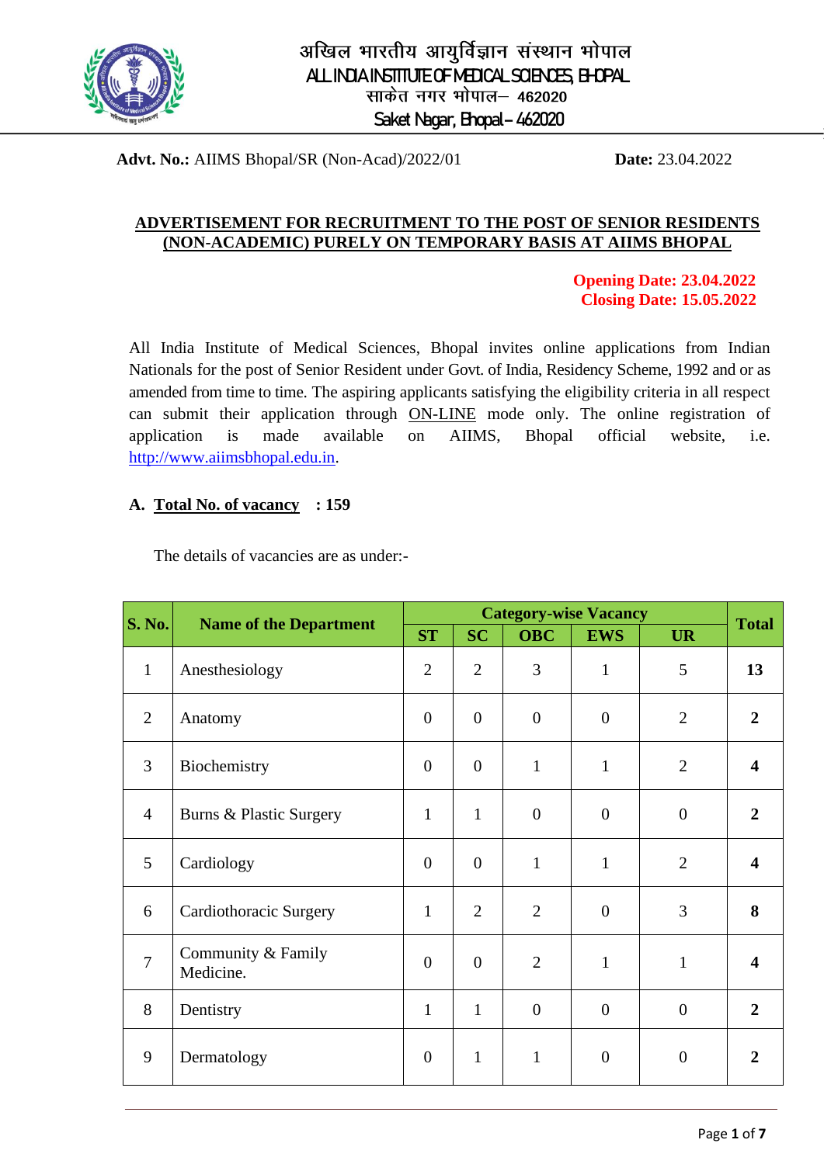

# अखिल भारतीय आयुर्विज्ञान संस्थान भोपाल ALL INDIA INSTITUTE OF MEDICAL SCIENCES, BHOPAL साकेत नगर भोपाल– 462020 Saket Nagar, Bhopal– 462020

**Advt. No.:** AIIMS Bhopal/SR (Non-Acad)/2022/01 **Date:** 23.04.2022

#### **ADVERTISEMENT FOR RECRUITMENT TO THE POST OF SENIOR RESIDENTS (NON-ACADEMIC) PURELY ON TEMPORARY BASIS AT AIIMS BHOPAL**

 **Opening Date: 23.04.2022 Closing Date: 15.05.2022**

All India Institute of Medical Sciences, Bhopal invites online applications from Indian Nationals for the post of Senior Resident under Govt. of India, Residency Scheme, 1992 and or as amended from time to time. The aspiring applicants satisfying the eligibility criteria in all respect can submit their application through ON-LINE mode only. The online registration of application is made available on AIIMS, Bhopal official website, i.e. http://www.aiimsbhopal.edu.in.

#### **A. Total No. of vacancy : 159**

The details of vacancies are as under:-

| <b>S. No.</b>  | <b>Name of the Department</b>   | <b>Category-wise Vacancy</b> |                  |                |                  |                  |                         |
|----------------|---------------------------------|------------------------------|------------------|----------------|------------------|------------------|-------------------------|
|                |                                 | <b>ST</b>                    | <b>SC</b>        | <b>OBC</b>     | <b>EWS</b>       | <b>UR</b>        | <b>Total</b>            |
| $\mathbf{1}$   | Anesthesiology                  | $\overline{2}$               | $\overline{2}$   | 3              | $\mathbf{1}$     | 5                | 13                      |
| $\overline{2}$ | Anatomy                         | $\theta$                     | $\boldsymbol{0}$ | $\overline{0}$ | $\overline{0}$   | $\overline{2}$   | $\overline{2}$          |
| 3              | Biochemistry                    | $\overline{0}$               | $\boldsymbol{0}$ | $\mathbf{1}$   | $\mathbf{1}$     | $\overline{2}$   | $\overline{\mathbf{4}}$ |
| $\overline{4}$ | Burns & Plastic Surgery         | $\mathbf{1}$                 | $\mathbf{1}$     | $\overline{0}$ | $\boldsymbol{0}$ | $\overline{0}$   | $\overline{2}$          |
| 5              | Cardiology                      | $\overline{0}$               | $\boldsymbol{0}$ | $\mathbf{1}$   | $\mathbf{1}$     | $\overline{2}$   | $\overline{\mathbf{4}}$ |
| 6              | Cardiothoracic Surgery          | $\mathbf{1}$                 | $\overline{2}$   | $\overline{2}$ | $\overline{0}$   | 3                | 8                       |
| $\overline{7}$ | Community & Family<br>Medicine. | $\overline{0}$               | $\boldsymbol{0}$ | $\overline{2}$ | $\mathbf{1}$     | $\mathbf{1}$     | 4                       |
| 8              | Dentistry                       | $\mathbf{1}$                 | $\mathbf{1}$     | $\theta$       | $\overline{0}$   | $\overline{0}$   | $\overline{2}$          |
| 9              | Dermatology                     | $\boldsymbol{0}$             | $\mathbf{1}$     | $\mathbf{1}$   | $\overline{0}$   | $\boldsymbol{0}$ | $\overline{2}$          |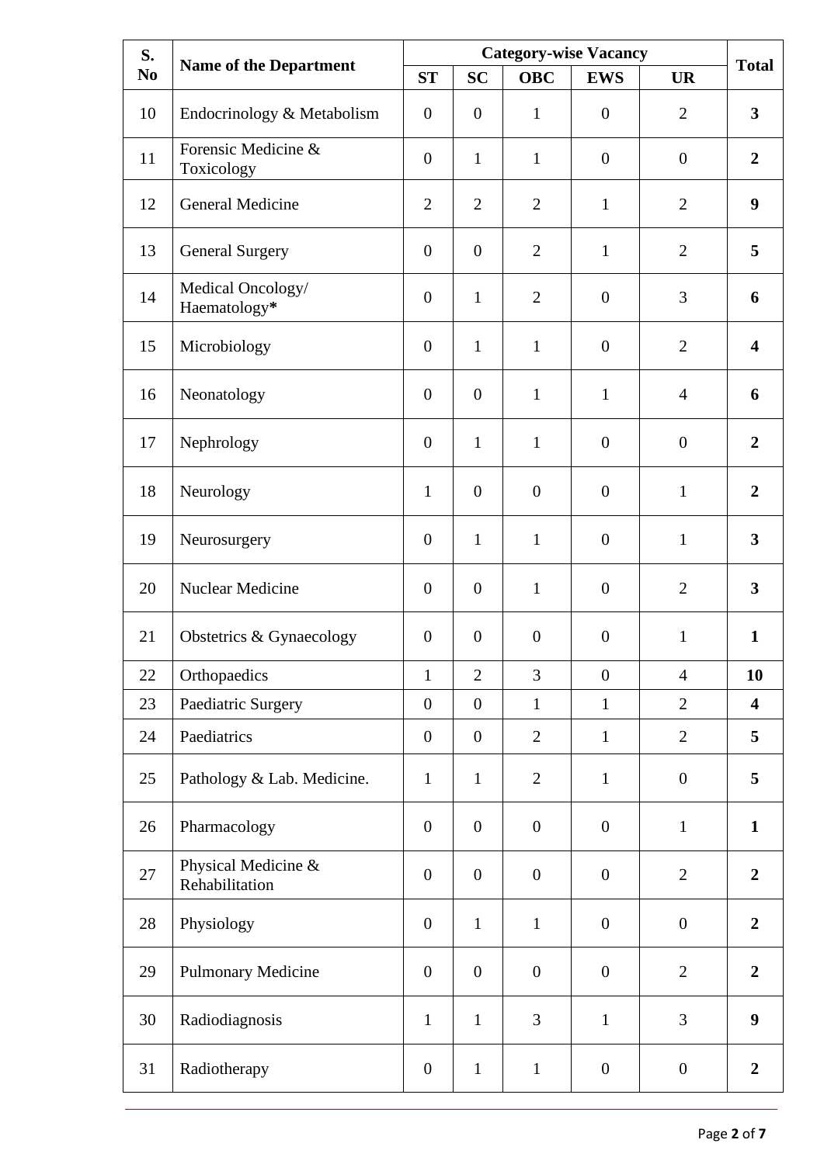| S.<br>N <sub>0</sub> | <b>Name of the Department</b>         | <b>Category-wise Vacancy</b> |                  |                  |                  |                  |                         |
|----------------------|---------------------------------------|------------------------------|------------------|------------------|------------------|------------------|-------------------------|
|                      |                                       | <b>ST</b>                    | <b>SC</b>        | <b>OBC</b>       | <b>EWS</b>       | <b>UR</b>        | <b>Total</b>            |
| 10                   | Endocrinology & Metabolism            | $\overline{0}$               | $\mathbf{0}$     | $\mathbf{1}$     | $\overline{0}$   | $\overline{2}$   | $\overline{\mathbf{3}}$ |
| 11                   | Forensic Medicine &<br>Toxicology     | $\theta$                     | $\mathbf{1}$     | $\mathbf{1}$     | $\boldsymbol{0}$ | $\boldsymbol{0}$ | $\boldsymbol{2}$        |
| 12                   | General Medicine                      | $\overline{2}$               | $\overline{2}$   | $\overline{2}$   | $\mathbf{1}$     | $\overline{2}$   | $\boldsymbol{9}$        |
| 13                   | <b>General Surgery</b>                | $\boldsymbol{0}$             | $\overline{0}$   | $\overline{2}$   | $\mathbf{1}$     | $\overline{2}$   | 5                       |
| 14                   | Medical Oncology/<br>Haematology*     | $\theta$                     | $\mathbf{1}$     | $\overline{2}$   | $\overline{0}$   | 3                | 6                       |
| 15                   | Microbiology                          | $\boldsymbol{0}$             | $\mathbf{1}$     | $\mathbf{1}$     | $\overline{0}$   | $\overline{2}$   | 4                       |
| 16                   | Neonatology                           | $\theta$                     | $\overline{0}$   | $\mathbf{1}$     | $\mathbf{1}$     | $\overline{4}$   | 6                       |
| 17                   | Nephrology                            | $\theta$                     | $\mathbf{1}$     | $\mathbf{1}$     | $\overline{0}$   | $\mathbf{0}$     | $\overline{2}$          |
| 18                   | Neurology                             | $\mathbf{1}$                 | $\overline{0}$   | $\mathbf{0}$     | $\overline{0}$   | $\mathbf{1}$     | $\boldsymbol{2}$        |
| 19                   | Neurosurgery                          | $\overline{0}$               | $\mathbf{1}$     | $\mathbf{1}$     | $\overline{0}$   | $\mathbf{1}$     | $\overline{\mathbf{3}}$ |
| 20                   | Nuclear Medicine                      | $\overline{0}$               | $\overline{0}$   | $\mathbf{1}$     | $\overline{0}$   | $\overline{2}$   | $\overline{\mathbf{3}}$ |
| 21                   | Obstetrics & Gynaecology              | $\boldsymbol{0}$             | $\overline{0}$   | $\boldsymbol{0}$ | $\boldsymbol{0}$ | $\mathbf{1}$     | $\mathbf{1}$            |
| 22                   | Orthopaedics                          | $\mathbf{1}$                 | $\overline{2}$   | 3                | $\boldsymbol{0}$ | $\overline{4}$   | 10                      |
| 23                   | Paediatric Surgery                    | $\boldsymbol{0}$             | $\overline{0}$   | $\mathbf{1}$     | $\mathbf{1}$     | $\overline{2}$   | $\overline{\mathbf{4}}$ |
| 24                   | Paediatrics                           | $\boldsymbol{0}$             | $\boldsymbol{0}$ | $\overline{2}$   | $\mathbf{1}$     | $\overline{2}$   | 5                       |
| 25                   | Pathology & Lab. Medicine.            | $\mathbf{1}$                 | $\mathbf{1}$     | $\mathbf{2}$     | $\mathbf{1}$     | $\boldsymbol{0}$ | 5                       |
| 26                   | Pharmacology                          | $\boldsymbol{0}$             | $\boldsymbol{0}$ | $\boldsymbol{0}$ | $\boldsymbol{0}$ | $\mathbf{1}$     | $\mathbf{1}$            |
| 27                   | Physical Medicine &<br>Rehabilitation | $\boldsymbol{0}$             | $\boldsymbol{0}$ | $\boldsymbol{0}$ | $\boldsymbol{0}$ | $\overline{2}$   | $\overline{2}$          |
| 28                   | Physiology                            | $\boldsymbol{0}$             | $\mathbf{1}$     | $\mathbf{1}$     | $\boldsymbol{0}$ | $\boldsymbol{0}$ | $\boldsymbol{2}$        |
| 29                   | Pulmonary Medicine                    | $\boldsymbol{0}$             | $\boldsymbol{0}$ | $\boldsymbol{0}$ | $\boldsymbol{0}$ | $\overline{2}$   | $\boldsymbol{2}$        |
| 30                   | Radiodiagnosis                        | $\mathbf{1}$                 | $\mathbf{1}$     | 3                | $\mathbf{1}$     | 3                | $\boldsymbol{9}$        |
| 31                   | Radiotherapy                          | $\boldsymbol{0}$             | $\mathbf{1}$     | $\mathbf{1}$     | $\boldsymbol{0}$ | $\boldsymbol{0}$ | $\boldsymbol{2}$        |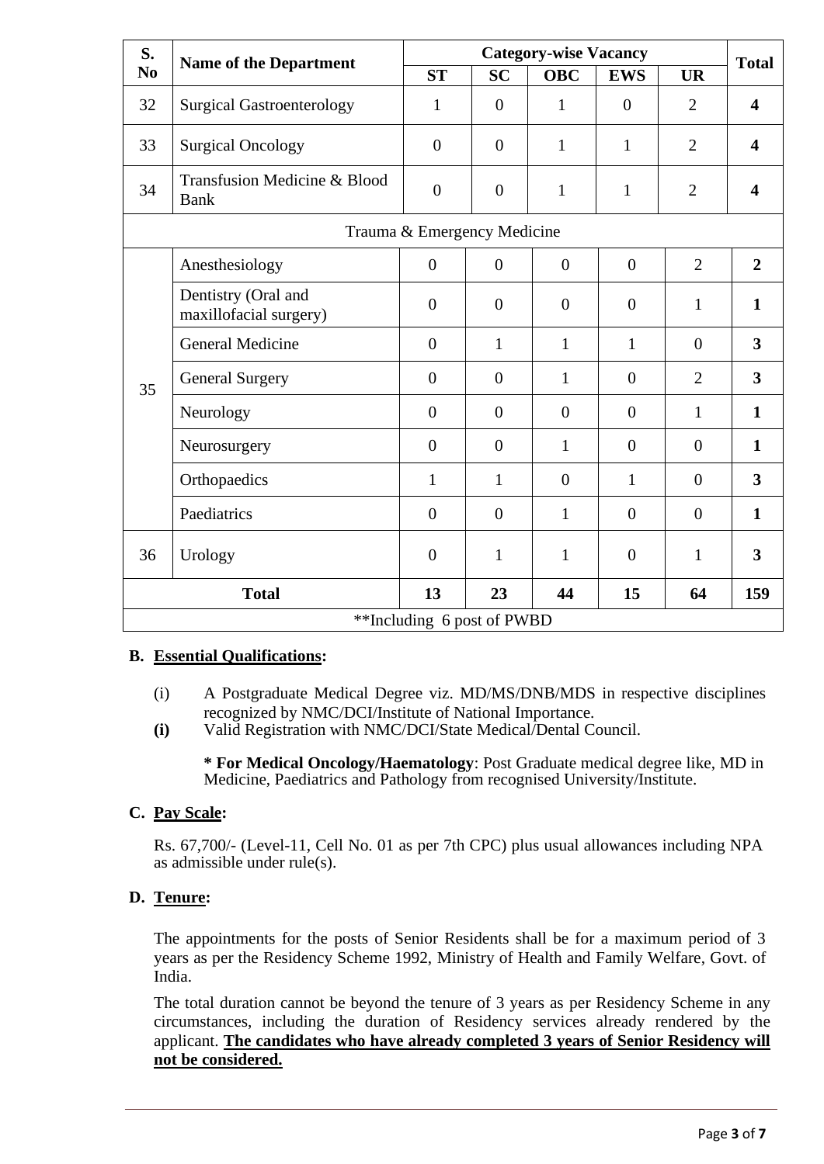| S.<br>N <sub>0</sub>       | <b>Name of the Department</b>                 |                             | <b>Total</b>     |                |                |                |                         |
|----------------------------|-----------------------------------------------|-----------------------------|------------------|----------------|----------------|----------------|-------------------------|
|                            |                                               | <b>ST</b>                   | <b>SC</b>        | <b>OBC</b>     | <b>EWS</b>     | <b>UR</b>      |                         |
| 32                         | <b>Surgical Gastroenterology</b>              | 1                           | $\overline{0}$   | $\mathbf{1}$   | $\overline{0}$ | $\overline{2}$ | $\overline{\mathbf{4}}$ |
| 33                         | <b>Surgical Oncology</b>                      | $\overline{0}$              | $\overline{0}$   | $\mathbf{1}$   | $\mathbf{1}$   | $\overline{2}$ | $\overline{\mathbf{4}}$ |
| 34                         | Transfusion Medicine & Blood<br><b>Bank</b>   | $\overline{0}$              | $\overline{0}$   | $\mathbf{1}$   | $\mathbf{1}$   | $\overline{2}$ | $\overline{\mathbf{4}}$ |
|                            |                                               | Trauma & Emergency Medicine |                  |                |                |                |                         |
| 35                         | Anesthesiology                                | $\overline{0}$              | $\boldsymbol{0}$ | $\overline{0}$ | $\overline{0}$ | $\overline{2}$ | $\overline{2}$          |
|                            | Dentistry (Oral and<br>maxillofacial surgery) | $\overline{0}$              | $\overline{0}$   | $\overline{0}$ | $\overline{0}$ | $\mathbf{1}$   | $\mathbf{1}$            |
|                            | <b>General Medicine</b>                       | $\overline{0}$              | 1                | $\mathbf{1}$   | $\mathbf{1}$   | $\overline{0}$ | 3                       |
|                            | <b>General Surgery</b>                        | $\overline{0}$              | $\overline{0}$   | 1              | $\overline{0}$ | $\overline{2}$ | $\overline{\mathbf{3}}$ |
|                            | Neurology                                     | $\overline{0}$              | $\overline{0}$   | $\overline{0}$ | $\overline{0}$ | $\mathbf{1}$   | $\mathbf{1}$            |
|                            | Neurosurgery                                  | $\boldsymbol{0}$            | $\overline{0}$   | $\mathbf{1}$   | $\overline{0}$ | $\overline{0}$ | $\mathbf{1}$            |
|                            | Orthopaedics                                  | $\mathbf{1}$                | $\mathbf{1}$     | $\overline{0}$ | $\mathbf{1}$   | $\overline{0}$ | $\overline{\mathbf{3}}$ |
|                            | Paediatrics                                   | $\overline{0}$              | $\overline{0}$   | $\mathbf{1}$   | $\overline{0}$ | $\theta$       | $\mathbf{1}$            |
| 36                         | Urology                                       | $\overline{0}$              | $\mathbf{1}$     | 1              | $\overline{0}$ | $\mathbf{1}$   | $\overline{\mathbf{3}}$ |
| <b>Total</b>               |                                               | 13                          | 23               | 44             | 15             | 64             | 159                     |
| **Including 6 post of PWBD |                                               |                             |                  |                |                |                |                         |

## **B. Essential Qualifications:**

- (i) A Postgraduate Medical Degree viz. MD/MS/DNB/MDS in respective disciplines recognized by NMC/DCI/Institute of National Importance.
- **(i)** Valid Registration with NMC/DCI/State Medical/Dental Council.

**\* For Medical Oncology/Haematology**: Post Graduate medical degree like, MD in Medicine, Paediatrics and Pathology from recognised University/Institute.

## **C. Pay Scale:**

Rs. 67,700/- (Level-11, Cell No. 01 as per 7th CPC) plus usual allowances including NPA as admissible under rule(s).

## **D. Tenure:**

The appointments for the posts of Senior Residents shall be for a maximum period of 3 years as per the Residency Scheme 1992, Ministry of Health and Family Welfare, Govt. of India.

The total duration cannot be beyond the tenure of 3 years as per Residency Scheme in any circumstances, including the duration of Residency services already rendered by the applicant. **The candidates who have already completed 3 years of Senior Residency will not be considered.**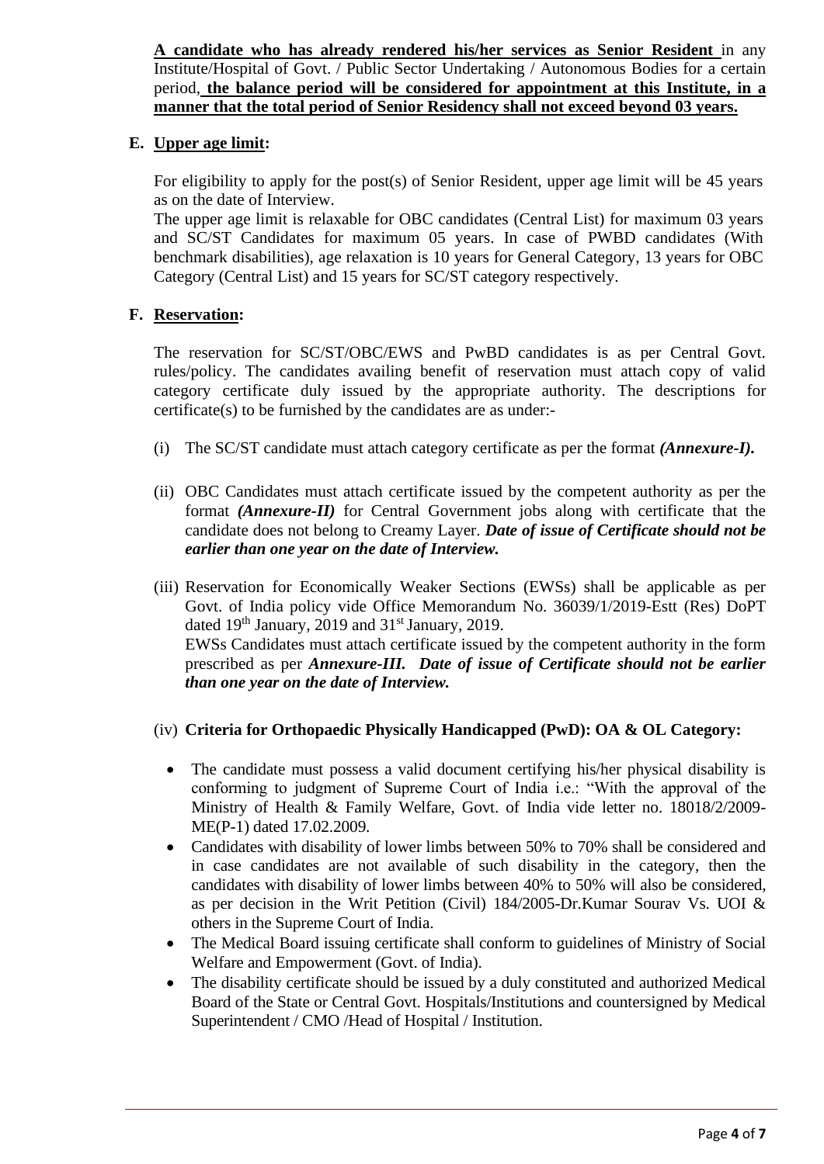**A candidate who has already rendered his/her services as Senior Resident** in any Institute/Hospital of Govt. / Public Sector Undertaking / Autonomous Bodies for a certain period, **the balance period will be considered for appointment at this Institute, in a manner that the total period of Senior Residency shall not exceed beyond 03 years.** 

# **E. Upper age limit:**

For eligibility to apply for the post(s) of Senior Resident, upper age limit will be 45 years as on the date of Interview.

The upper age limit is relaxable for OBC candidates (Central List) for maximum 03 years and SC/ST Candidates for maximum 05 years. In case of PWBD candidates (With benchmark disabilities), age relaxation is 10 years for General Category, 13 years for OBC Category (Central List) and 15 years for SC/ST category respectively.

# **F. Reservation:**

The reservation for SC/ST/OBC/EWS and PwBD candidates is as per Central Govt. rules/policy. The candidates availing benefit of reservation must attach copy of valid category certificate duly issued by the appropriate authority. The descriptions for certificate(s) to be furnished by the candidates are as under:-

- (i) The SC/ST candidate must attach category certificate as per the format *(Annexure-I).*
- (ii) OBC Candidates must attach certificate issued by the competent authority as per the format *(Annexure-II)* for Central Government jobs along with certificate that the candidate does not belong to Creamy Layer. *Date of issue of Certificate should not be earlier than one year on the date of Interview.*
- (iii) Reservation for Economically Weaker Sections (EWSs) shall be applicable as per Govt. of India policy vide Office Memorandum No. 36039/1/2019-Estt (Res) DoPT dated 19<sup>th</sup> January, 2019 and 31<sup>st</sup> January, 2019. EWSs Candidates must attach certificate issued by the competent authority in the form prescribed as per *Annexure-III.**Date of issue of Certificate should not be earlier than one year on the date of Interview.*

## (iv) **Criteria for Orthopaedic Physically Handicapped (PwD): OA & OL Category:**

- The candidate must possess a valid document certifying his/her physical disability is conforming to judgment of Supreme Court of India i.e.: "With the approval of the Ministry of Health & Family Welfare, Govt. of India vide letter no. 18018/2/2009- ME(P-1) dated 17.02.2009.
- Candidates with disability of lower limbs between 50% to 70% shall be considered and in case candidates are not available of such disability in the category, then the candidates with disability of lower limbs between 40% to 50% will also be considered, as per decision in the Writ Petition (Civil) 184/2005-Dr.Kumar Sourav Vs. UOI & others in the Supreme Court of India.
- The Medical Board issuing certificate shall conform to guidelines of Ministry of Social Welfare and Empowerment (Govt. of India).
- The disability certificate should be issued by a duly constituted and authorized Medical Board of the State or Central Govt. Hospitals/Institutions and countersigned by Medical Superintendent / CMO /Head of Hospital / Institution.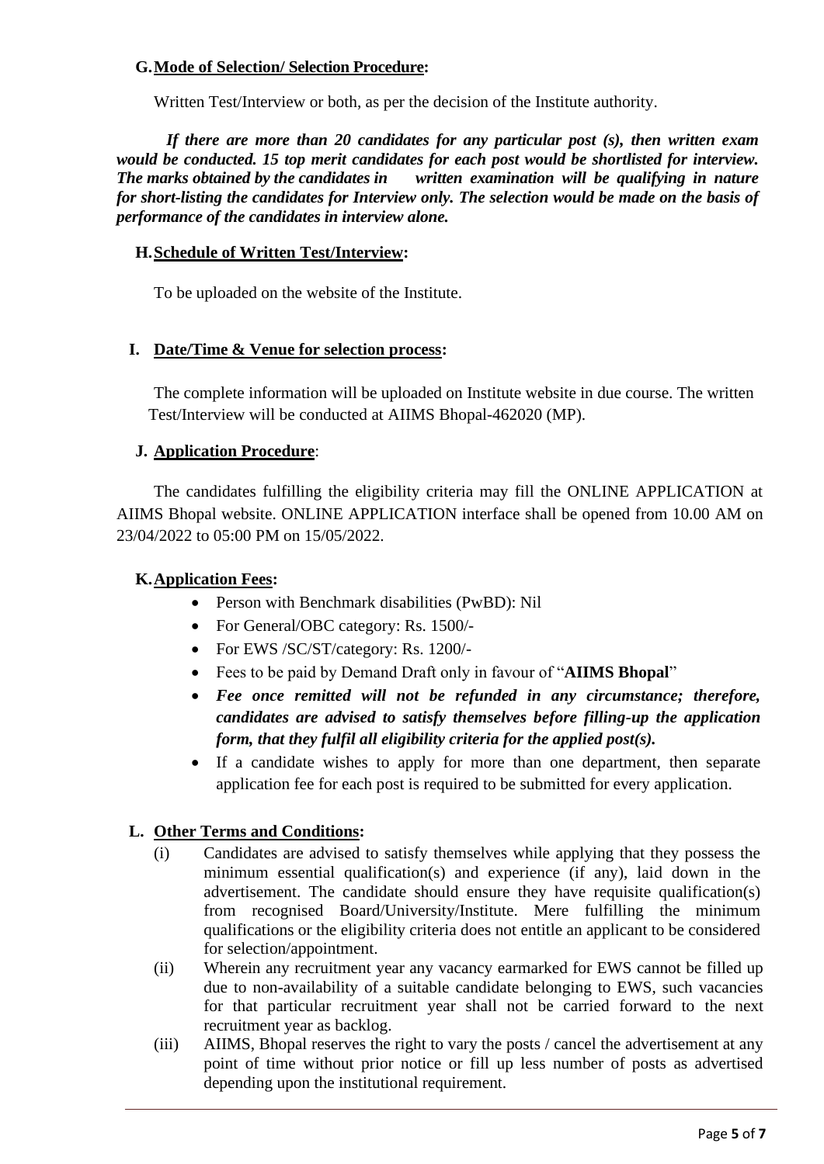# **G.Mode of Selection/ Selection Procedure:**

Written Test/Interview or both, as per the decision of the Institute authority.

*If there are more than 20 candidates for any particular post (s), then written exam would be conducted. 15 top merit candidates for each post would be shortlisted for interview. The marks obtained by the candidates in written examination will be qualifying in nature for short-listing the candidates for Interview only. The selection would be made on the basis of performance of the candidates in interview alone.*

#### **H.Schedule of Written Test/Interview:**

To be uploaded on the website of the Institute.

## **I. Date/Time & Venue for selection process:**

The complete information will be uploaded on Institute website in due course. The written Test/Interview will be conducted at AIIMS Bhopal-462020 (MP).

## **J. Application Procedure**:

The candidates fulfilling the eligibility criteria may fill the ONLINE APPLICATION at AIIMS Bhopal website. ONLINE APPLICATION interface shall be opened from 10.00 AM on 23/04/2022 to 05:00 PM on 15/05/2022.

## **K.Application Fees:**

- Person with Benchmark disabilities (PwBD): Nil
- For General/OBC category: Rs. 1500/-
- For EWS /SC/ST/category: Rs. 1200/-
- Fees to be paid by Demand Draft only in favour of "**AIIMS Bhopal**"
- *Fee once remitted will not be refunded in any circumstance; therefore, candidates are advised to satisfy themselves before filling-up the application form, that they fulfil all eligibility criteria for the applied post(s).*
- If a candidate wishes to apply for more than one department, then separate application fee for each post is required to be submitted for every application.

## **L. Other Terms and Conditions:**

- (i) Candidates are advised to satisfy themselves while applying that they possess the minimum essential qualification(s) and experience (if any), laid down in the advertisement. The candidate should ensure they have requisite qualification(s) from recognised Board/University/Institute. Mere fulfilling the minimum qualifications or the eligibility criteria does not entitle an applicant to be considered for selection/appointment.
- (ii) Wherein any recruitment year any vacancy earmarked for EWS cannot be filled up due to non-availability of a suitable candidate belonging to EWS, such vacancies for that particular recruitment year shall not be carried forward to the next recruitment year as backlog.
- (iii) AIIMS, Bhopal reserves the right to vary the posts / cancel the advertisement at any point of time without prior notice or fill up less number of posts as advertised depending upon the institutional requirement.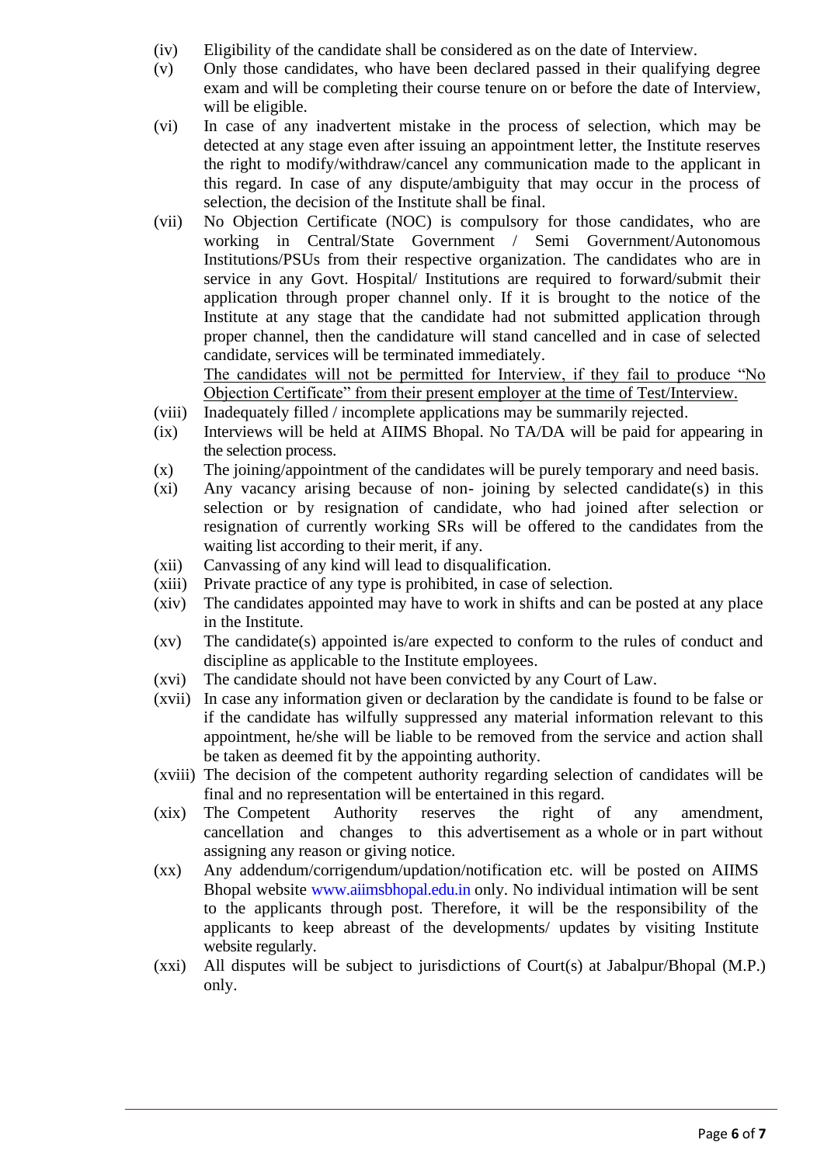- (iv) Eligibility of the candidate shall be considered as on the date of Interview.
- (v) Only those candidates, who have been declared passed in their qualifying degree exam and will be completing their course tenure on or before the date of Interview, will be eligible.
- (vi) In case of any inadvertent mistake in the process of selection, which may be detected at any stage even after issuing an appointment letter, the Institute reserves the right to modify/withdraw/cancel any communication made to the applicant in this regard. In case of any dispute/ambiguity that may occur in the process of selection, the decision of the Institute shall be final.
- (vii) No Objection Certificate (NOC) is compulsory for those candidates, who are working in Central/State Government / Semi Government/Autonomous Institutions/PSUs from their respective organization. The candidates who are in service in any Govt. Hospital/ Institutions are required to forward/submit their application through proper channel only. If it is brought to the notice of the Institute at any stage that the candidate had not submitted application through proper channel, then the candidature will stand cancelled and in case of selected candidate, services will be terminated immediately.

The candidates will not be permitted for Interview, if they fail to produce "No Objection Certificate" from their present employer at the time of Test/Interview.

- (viii) Inadequately filled / incomplete applications may be summarily rejected.
- (ix) Interviews will be held at AIIMS Bhopal. No TA/DA will be paid for appearing in the selection process.
- (x) The joining/appointment of the candidates will be purely temporary and need basis.
- (xi) Any vacancy arising because of non- joining by selected candidate(s) in this selection or by resignation of candidate, who had joined after selection or resignation of currently working SRs will be offered to the candidates from the waiting list according to their merit, if any.
- (xii) Canvassing of any kind will lead to disqualification.
- (xiii) Private practice of any type is prohibited, in case of selection.
- (xiv) The candidates appointed may have to work in shifts and can be posted at any place in the Institute.
- (xv) The candidate(s) appointed is/are expected to conform to the rules of conduct and discipline as applicable to the Institute employees.
- (xvi) The candidate should not have been convicted by any Court of Law.
- (xvii) In case any information given or declaration by the candidate is found to be false or if the candidate has wilfully suppressed any material information relevant to this appointment, he/she will be liable to be removed from the service and action shall be taken as deemed fit by the appointing authority.
- (xviii) The decision of the competent authority regarding selection of candidates will be final and no representation will be entertained in this regard.
- (xix) The Competent Authority reserves the right of any amendment, cancellation and changes to this advertisement as a whole or in part without assigning any reason or giving notice.
- (xx) Any addendum/corrigendum/updation/notification etc. will be posted on AIIMS Bhopal website [www.aiimsbhopal.edu.in o](http://www.aiimsbhopal.edu.in/)nly. No individual intimation will be sent to the applicants through post. Therefore, it will be the responsibility of the applicants to keep abreast of the developments/ updates by visiting Institute website regularly.
- (xxi) All disputes will be subject to jurisdictions of Court(s) at Jabalpur/Bhopal (M.P.) only.